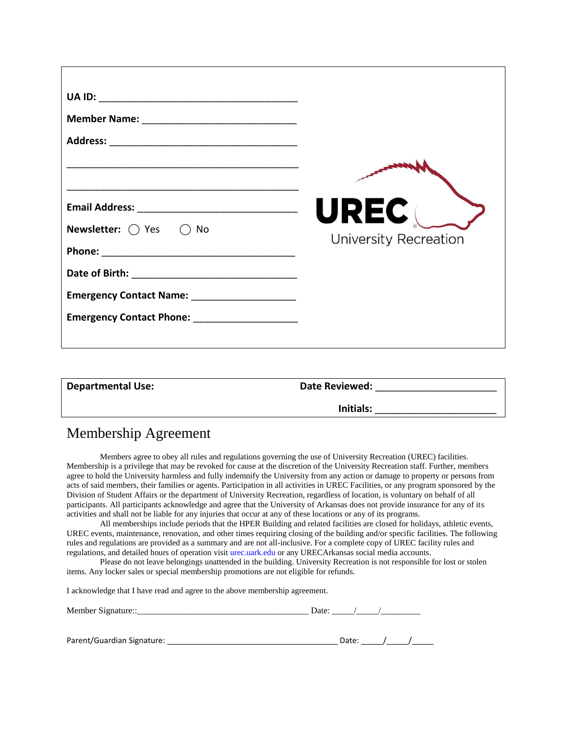|                                                  | <b>UREC</b>                  |
|--------------------------------------------------|------------------------------|
| <b>Newsletter:</b> $\bigcirc$ Yes $\bigcirc$ No  | <b>University Recreation</b> |
|                                                  |                              |
|                                                  |                              |
| Emergency Contact Name: _______________________  |                              |
| Emergency Contact Phone: _______________________ |                              |
|                                                  |                              |
|                                                  |                              |
|                                                  |                              |

| <b>Departmental Use:</b> | <b>Date Reviewed:</b> |  |
|--------------------------|-----------------------|--|
|                          | Initials:             |  |

## Membership Agreement

Members agree to obey all rules and regulations governing the use of University Recreation (UREC) facilities. Membership is a privilege that may be revoked for cause at the discretion of the University Recreation staff. Further, members agree to hold the University harmless and fully indemnify the University from any action or damage to property or persons from acts of said members, their families or agents. Participation in all activities in UREC Facilities, or any program sponsored by the Division of Student Affairs or the department of University Recreation, regardless of location, is voluntary on behalf of all participants. All participants acknowledge and agree that the University of Arkansas does not provide insurance for any of its activities and shall not be liable for any injuries that occur at any of these locations or any of its programs.

All memberships include periods that the HPER Building and related facilities are closed for holidays, athletic events, UREC events, maintenance, renovation, and other times requiring closing of the building and/or specific facilities. The following rules and regulations are provided as a summary and are not all-inclusive. For a complete copy of UREC facility rules and regulations, and detailed hours of operation visit urec.uark.edu or any URECArkansas social media accounts.

Please do not leave belongings unattended in the building. University Recreation is not responsible for lost or stolen items. Any locker sales or special membership promotions are not eligible for refunds.

I acknowledge that I have read and agree to the above membership agreement.

| $\overline{\phantom{a}}$<br>M |  |  |
|-------------------------------|--|--|
|                               |  |  |

| Parent/Guardian Signature: |  |  |  |  |  |
|----------------------------|--|--|--|--|--|
|----------------------------|--|--|--|--|--|